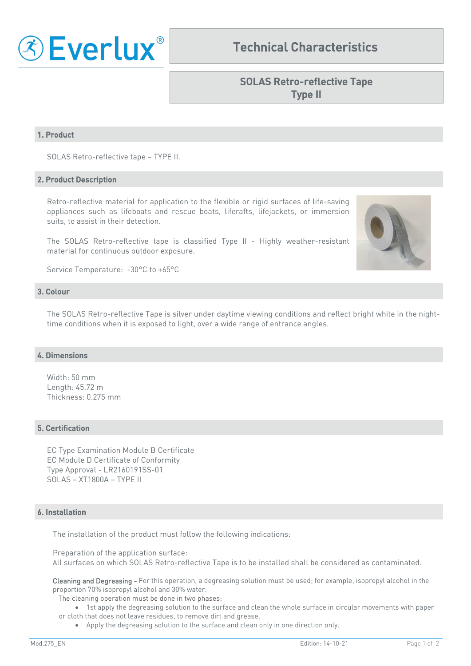

# Technical Characteristics

# SOLAS Retro-reflective Tape Type II

## 1. Product

SOLAS Retro-reflective tape – TYPE II.

#### 2. Product Description

Retro-reflective material for application to the flexible or rigid surfaces of life-saving appliances such as lifeboats and rescue boats, liferafts, lifejackets, or immersion suits, to assist in their detection.

The SOLAS Retro-reflective tape is classified Type II - Highly weather-resistant material for continuous outdoor exposure.

Service Temperature: -30°C to +65°C

## 3. Colour

The SOLAS Retro-reflective Tape is silver under daytime viewing conditions and reflect bright white in the nighttime conditions when it is exposed to light, over a wide range of entrance angles.

## 4. Dimensions

Width: 50 mm Length: 45.72 m Thickness: 0.275 mm

## 5. Certification

EC Type Examination Module B Certificate EC Module D Certificate of Conformity Type Approval - LR2160191SS-01 SOLAS – XT1800A – TYPE II

#### 6. Installation

The installation of the product must follow the following indications:

Preparation of the application surface:

All surfaces on which SOLAS Retro-reflective Tape is to be installed shall be considered as contaminated.

Cleaning and Degreasing - For this operation, a degreasing solution must be used; for example, isopropyl alcohol in the proportion 70% isopropyl alcohol and 30% water.

The cleaning operation must be done in two phases:

• 1st apply the degreasing solution to the surface and clean the whole surface in circular movements with paper or cloth that does not leave residues, to remove dirt and grease.

• Apply the degreasing solution to the surface and clean only in one direction only.